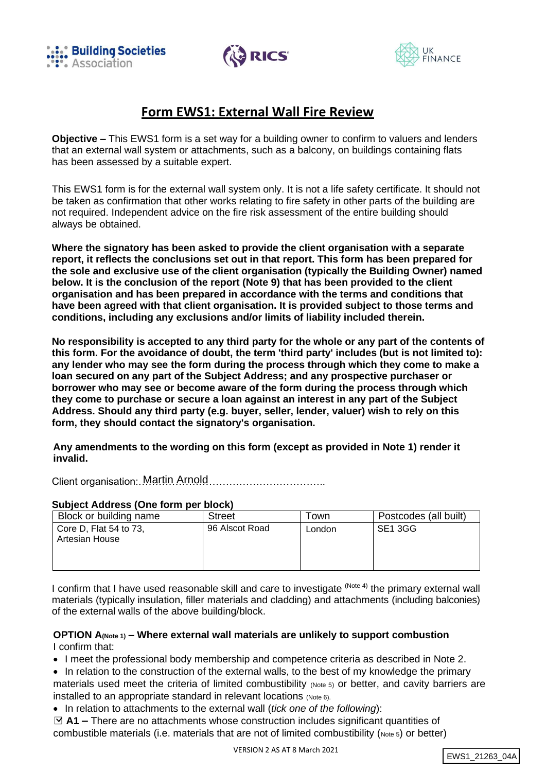





# **Form EWS1: External Wall Fire Review**

**Objective –** This EWS1 form is a set way for a building owner to confirm to valuers and lenders that an external wall system or attachments, such as a balcony, on buildings containing flats has been assessed by a suitable expert.

This EWS1 form is for the external wall system only. It is not a life safety certificate. It should not be taken as confirmation that other works relating to fire safety in other parts of the building are not required. Independent advice on the fire risk assessment of the entire building should always be obtained.

**Where the signatory has been asked to provide the client organisation with a separate report, it reflects the conclusions set out in that report. This form has been prepared for the sole and exclusive use of the client organisation (typically the Building Owner) named below. It is the conclusion of the report (Note 9) that has been provided to the client organisation and has been prepared in accordance with the terms and conditions that have been agreed with that client organisation. It is provided subject to those terms and conditions, including any exclusions and/or limits of liability included therein.**

**No responsibility is accepted to any third party for the whole or any part of the contents of this form. For the avoidance of doubt, the term 'third party' includes (but is not limited to): any lender who may see the form during the process through which they come to make a loan secured on any part of the Subject Address; and any prospective purchaser or borrower who may see or become aware of the form during the process through which they come to purchase or secure a loan against an interest in any part of the Subject Address. Should any third party (e.g. buyer, seller, lender, valuer) wish to rely on this form, they should contact the signatory's organisation.**

**Any amendments to the wording on this form (except as provided in Note 1) render it invalid.**

Client organisation:……………………………………………….. Martin Arnold

#### **Subject Address (One form per block)**

| Block or building name                   | <b>Street</b>  | Town   | Postcodes (all built) |
|------------------------------------------|----------------|--------|-----------------------|
| Core D, Flat 54 to 73,<br>Artesian House | 96 Alscot Road | London | SE1 3GG               |

I confirm that I have used reasonable skill and care to investigate <sup>(Note 4)</sup> the primary external wall materials (typically insulation, filler materials and cladding) and attachments (including balconies) of the external walls of the above building/block.

### **OPTION A(Note 1) – Where external wall materials are unlikely to support combustion** I confirm that:

• I meet the professional body membership and competence criteria as described in Note 2.

- In relation to the construction of the external walls, to the best of my knowledge the primary materials used meet the criteria of limited combustibility (Note 5) or better, and cavity barriers are installed to an appropriate standard in relevant locations (Note 6).
- In relation to attachments to the external wall (*tick one of the following*):

□ **A1 –** There are no attachments whose construction includes significant quantities of combustible materials (i.e. materials that are not of limited combustibility (Note 5) or better)

```
EWS1_21263_04A
```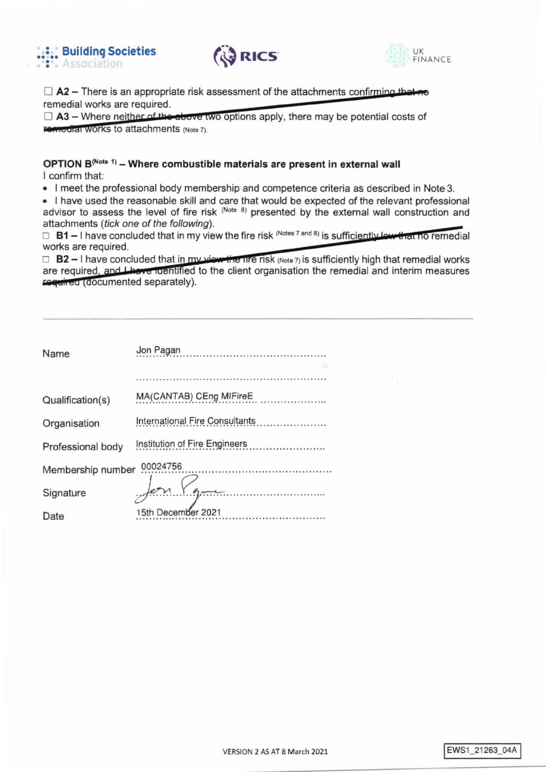





 $\Box$  A2 – There is an appropriate risk assessment of the attachments confirming that remedial works are required.

 $\Box$  A3 – Where neither of the above two options apply, there may be potential costs of **Femedial Works to attachments (Note 7).** 

# OPTION B<sup>(Note 1)</sup> - Where combustible materials are present in external wall I confirm that:

• I meet the professional body membership and competence criteria as described in Note 3.

. I have used the reasonable skill and care that would be expected of the relevant professional advisor to assess the level of fire risk (Note 8) presented by the external wall construction and attachments (tick one of the following).

 $\Box$  B1 – I have concluded that in my view the fire risk (Notes 7 and 8) is sufficiently low that no remedial works are required.

 $\Box$  B2 – I have concluded that in my view the fire risk (Note 7) is sufficiently high that remedial works are required, and Lhave identified to the client organisation the remedial and interim measures reguled (documented separately).

| Name                          | Jon Pagan               |  |
|-------------------------------|-------------------------|--|
|                               |                         |  |
|                               |                         |  |
| Qualification(s)              | MA(CANTAB) CEng MIFireE |  |
| Organisation                  |                         |  |
| Professional body             |                         |  |
| 00024756<br>Membership number |                         |  |
| Signature                     |                         |  |
| Date                          | 15th December 2021      |  |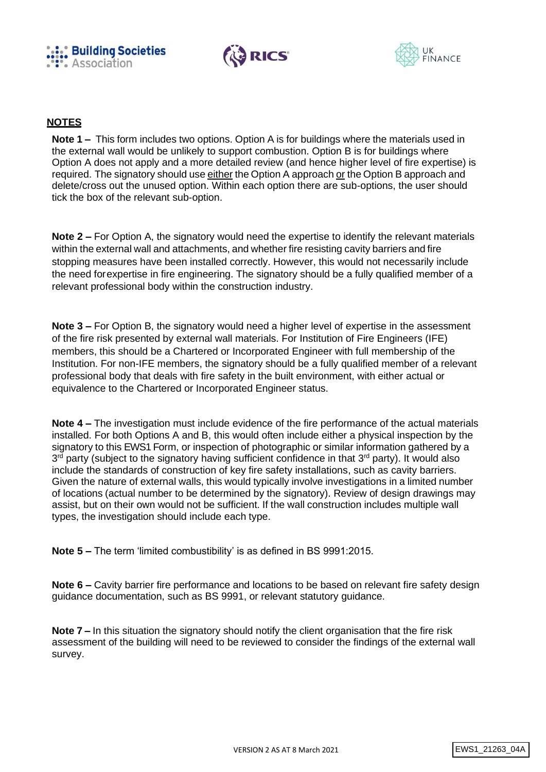





## **NOTES**

**Note 1 –** This form includes two options. Option A is for buildings where the materials used in the external wall would be unlikely to support combustion. Option B is for buildings where Option A does not apply and a more detailed review (and hence higher level of fire expertise) is required. The signatory should use either the Option A approach or the Option B approach and delete/cross out the unused option. Within each option there are sub-options, the user should tick the box of the relevant sub-option.

**Note 2 –** For Option A, the signatory would need the expertise to identify the relevant materials within the external wall and attachments, and whether fire resisting cavity barriers and fire stopping measures have been installed correctly. However, this would not necessarily include the need forexpertise in fire engineering. The signatory should be a fully qualified member of a relevant professional body within the construction industry.

**Note 3 –** For Option B, the signatory would need a higher level of expertise in the assessment of the fire risk presented by external wall materials. For Institution of Fire Engineers (IFE) members, this should be a Chartered or Incorporated Engineer with full membership of the Institution. For non-IFE members, the signatory should be a fully qualified member of a relevant professional body that deals with fire safety in the built environment, with either actual or equivalence to the Chartered or Incorporated Engineer status.

**Note 4 –** The investigation must include evidence of the fire performance of the actual materials installed. For both Options A and B, this would often include either a physical inspection by the signatory to this EWS1 Form, or inspection of photographic or similar information gathered by a 3<sup>rd</sup> party (subject to the signatory having sufficient confidence in that 3<sup>rd</sup> party). It would also include the standards of construction of key fire safety installations, such as cavity barriers. Given the nature of external walls, this would typically involve investigations in a limited number of locations (actual number to be determined by the signatory). Review of design drawings may assist, but on their own would not be sufficient. If the wall construction includes multiple wall types, the investigation should include each type.

**Note 5 –** The term 'limited combustibility' is as defined in BS 9991:2015.

**Note 6 –** Cavity barrier fire performance and locations to be based on relevant fire safety design guidance documentation, such as BS 9991, or relevant statutory guidance.

**Note 7 –** In this situation the signatory should notify the client organisation that the fire risk assessment of the building will need to be reviewed to consider the findings of the external wall survey.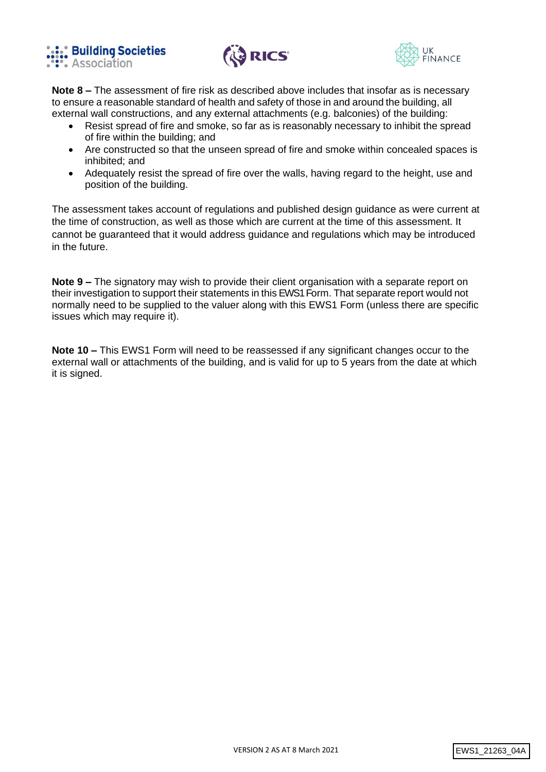





**Note 8 –** The assessment of fire risk as described above includes that insofar as is necessary to ensure a reasonable standard of health and safety of those in and around the building, all external wall constructions, and any external attachments (e.g. balconies) of the building:

- Resist spread of fire and smoke, so far as is reasonably necessary to inhibit the spread of fire within the building; and
- Are constructed so that the unseen spread of fire and smoke within concealed spaces is inhibited; and
- Adequately resist the spread of fire over the walls, having regard to the height, use and position of the building.

The assessment takes account of regulations and published design guidance as were current at the time of construction, as well as those which are current at the time of this assessment. It cannot be guaranteed that it would address guidance and regulations which may be introduced in the future.

**Note 9 –** The signatory may wish to provide their client organisation with a separate report on their investigation to support their statements in this EWS1 Form. That separate report would not normally need to be supplied to the valuer along with this EWS1 Form (unless there are specific issues which may require it).

**Note 10 –** This EWS1 Form will need to be reassessed if any significant changes occur to the external wall or attachments of the building, and is valid for up to 5 years from the date at which it is signed.